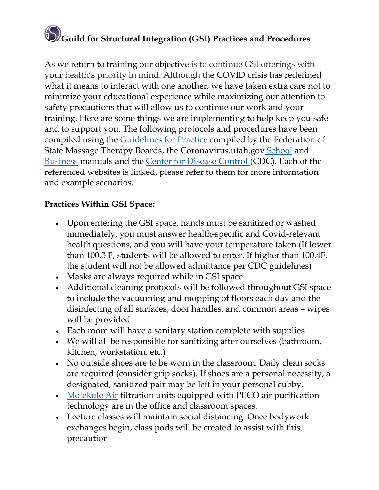## **Guild for Structural Integration (GSI) Practices and Procedures**

As we return to training our objective is to continue GSI offerings with your health's priority in mind. Although the COVID crisis has redefined what it means to interact with one another, we have taken extra care not to minimize your educational experience while maximizing our attention to safety precautions that will allow us to continue our work and your training. Here are some things we are implementing to help keep you safe and to support you. The following protocols and procedures have been compiled using the [Guidelines for Practice](https://www.fsmtb.org/media/2319/fsmtb20200519guidelinesforpracticecovid-19.pdf) compiled by the Federation of State Massage Therapy Boards, the Coronavirus.utah.gov [School](https://coronavirus-download.utah.gov/School/COVID-19_School_Manual_FINAL.pdf) and [Business](https://coronavirus-download.utah.gov/business/COVID-19_Business_Packet_8_6_2020.pdf) manuals and the [Center for Disease Control \(](https://www.cdc.gov/coronavirus/2019-ncov/community/colleges-universities/index.html)CDC). Each of the referenced websites is linked, please refer to them for more information and example scenarios.

## **Practices Within GSI Space:**

- Upon entering the GSI space, hands must be sanitized or washed immediately, you must answer health-specific and Covid-relevant health questions, and you will have your temperature taken (If lower than 100.3 F, students will be allowed to enter. If higher than 100.4F, the student will not be allowed admittance per CDC guidelines)
- Masks are always required while in GSI space
- Additional cleaning protocols will be followed throughout GSI space to include the vacuuming and mopping of floors each day and the disinfecting of all surfaces, door handles, and common areas – wipes will be provided
- Each room will have a sanitary station complete with supplies
- We will all be responsible for sanitizing after ourselves (bathroom, kitchen, workstation, etc.)
- No outside shoes are to be worn in the classroom. Daily clean socks are required (consider grip socks). If shoes are a personal necessity, a designated, sanitized pair may be left in your personal cubby.
- [Molekule Air](https://molekule.com/technology) filtration units equipped with PECO air purification technology are in the office and classroom spaces.
- Lecture classes will maintain social distancing. Once bodywork exchanges begin, class pods will be created to assist with this precaution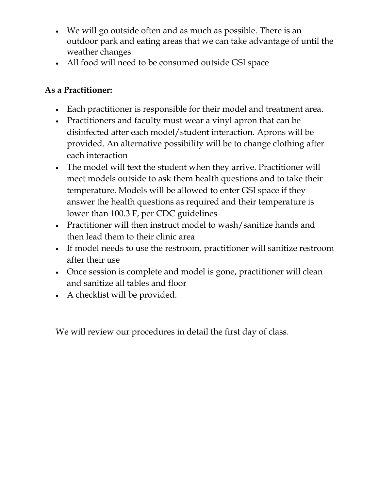- We will go outside often and as much as possible. There is an outdoor park and eating areas that we can take advantage of until the weather changes
- All food will need to be consumed outside GSI space

## **As a Practitioner:**

- Each practitioner is responsible for their model and treatment area.
- Practitioners and faculty must wear a vinyl apron that can be disinfected after each model/student interaction. Aprons will be provided. An alternative possibility will be to change clothing after each interaction
- The model will text the student when they arrive. Practitioner will meet models outside to ask them health questions and to take their temperature. Models will be allowed to enter GSI space if they answer the health questions as required and their temperature is lower than 100.3 F, per CDC guidelines
- Practitioner will then instruct model to wash/sanitize hands and then lead them to their clinic area
- If model needs to use the restroom, practitioner will sanitize restroom after their use
- Once session is complete and model is gone, practitioner will clean and sanitize all tables and floor
- A checklist will be provided.

We will review our procedures in detail the first day of class.